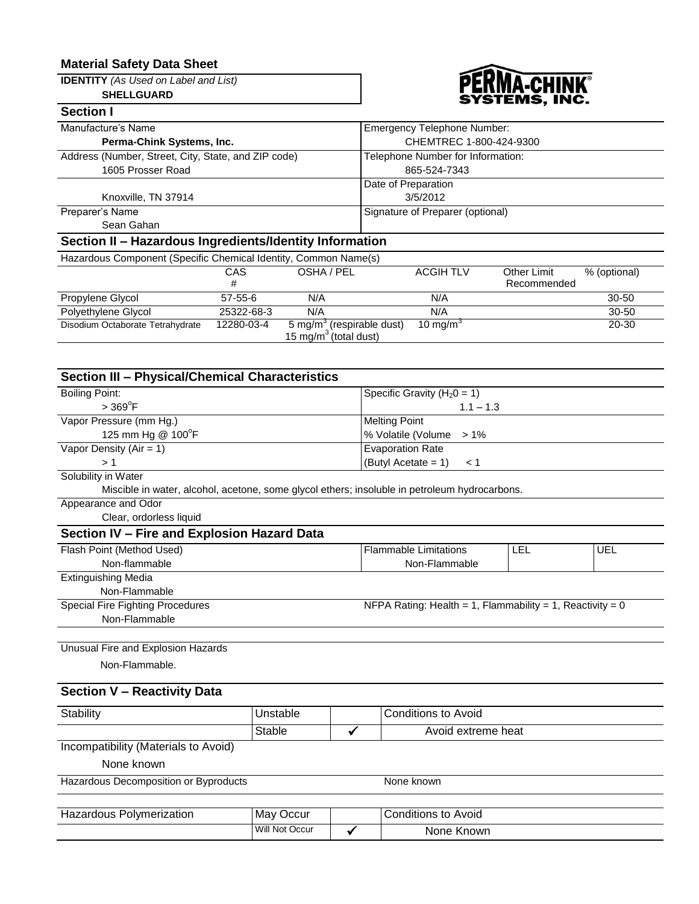## **Material Safety Data Sheet**

**IDENTITY** *(As Used on Label and List)*

## **SHELLGUARD**



| <b>Section I</b>                                                |                 |                                                                            |                                    |                            |              |
|-----------------------------------------------------------------|-----------------|----------------------------------------------------------------------------|------------------------------------|----------------------------|--------------|
| Manufacture's Name                                              |                 |                                                                            | <b>Emergency Telephone Number:</b> |                            |              |
| Perma-Chink Systems, Inc.                                       |                 |                                                                            | CHEMTREC 1-800-424-9300            |                            |              |
| Address (Number, Street, City, State, and ZIP code)             |                 |                                                                            | Telephone Number for Information:  |                            |              |
| 1605 Prosser Road                                               |                 |                                                                            | 865-524-7343                       |                            |              |
|                                                                 |                 |                                                                            | Date of Preparation                |                            |              |
| Knoxville, TN 37914                                             |                 |                                                                            | 3/5/2012                           |                            |              |
| Preparer's Name                                                 |                 |                                                                            | Signature of Preparer (optional)   |                            |              |
| Sean Gahan                                                      |                 |                                                                            |                                    |                            |              |
| Section II - Hazardous Ingredients/Identity Information         |                 |                                                                            |                                    |                            |              |
| Hazardous Component (Specific Chemical Identity, Common Name(s) |                 |                                                                            |                                    |                            |              |
|                                                                 | <b>CAS</b><br># | OSHA / PEL                                                                 | <b>ACGIH TLV</b>                   | Other Limit<br>Recommended | % (optional) |
| Propylene Glycol                                                | $57 - 55 - 6$   | N/A                                                                        | N/A                                |                            | $30 - 50$    |
| Polyethylene Glycol                                             | 25322-68-3      | N/A                                                                        | N/A                                |                            | $30 - 50$    |
| Disodium Octaborate Tetrahydrate                                | 12280-03-4      | 5 mg/m <sup>3</sup> (respirable dust)<br>15 mg/m <sup>3</sup> (total dust) | 10 mg/m $3$                        |                            | 20-30        |

# **Section III – Physical/Chemical Characteristics**

| <b>Boiling Point:</b>                                                                         | Specific Gravity ( $H_20 = 1$ )                           |     |     |
|-----------------------------------------------------------------------------------------------|-----------------------------------------------------------|-----|-----|
| $>$ 369 $\mathrm{^{\circ}F}$                                                                  | $1.1 - 1.3$                                               |     |     |
| Vapor Pressure (mm Hg.)                                                                       | <b>Melting Point</b>                                      |     |     |
| 125 mm Hg @ 100°F                                                                             | % Volatile (Volume<br>$>1\%$                              |     |     |
| Vapor Density ( $Air = 1$ )                                                                   | <b>Evaporation Rate</b>                                   |     |     |
| >1                                                                                            | (Butyl Acetate = $1$ )<br>< 1                             |     |     |
| Solubility in Water                                                                           |                                                           |     |     |
| Miscible in water, alcohol, acetone, some glycol ethers; insoluble in petroleum hydrocarbons. |                                                           |     |     |
| Appearance and Odor                                                                           |                                                           |     |     |
| Clear, ordorless liquid                                                                       |                                                           |     |     |
| Section IV - Fire and Explosion Hazard Data                                                   |                                                           |     |     |
| Flash Point (Method Used)                                                                     | <b>Flammable Limitations</b>                              | LEL | UEL |
| Non-flammable                                                                                 | Non-Flammable                                             |     |     |
| <b>Extinguishing Media</b>                                                                    |                                                           |     |     |
| Non-Flammable                                                                                 |                                                           |     |     |
| Special Fire Fighting Procedures                                                              | NFPA Rating: Health = 1, Flammability = 1, Reactivity = 0 |     |     |
| Non-Flammable                                                                                 |                                                           |     |     |
| Unusual Fire and Explosion Hazards                                                            |                                                           |     |     |
| Non-Flammable.                                                                                |                                                           |     |     |
| <b>Section V - Reactivity Data</b>                                                            |                                                           |     |     |

# Stability **Unstable Conditions to Avoid**  $Stable$   $\checkmark$  Avoid extreme heat Incompatibility (Materials to Avoid)

None known

| Hazardous Decomposition or Byproducts |  |
|---------------------------------------|--|
|---------------------------------------|--|

| Hazardous Polymerization | May Occur      | Conditions to Avoid |
|--------------------------|----------------|---------------------|
|                          | Will Not Occur | None Known          |

None known